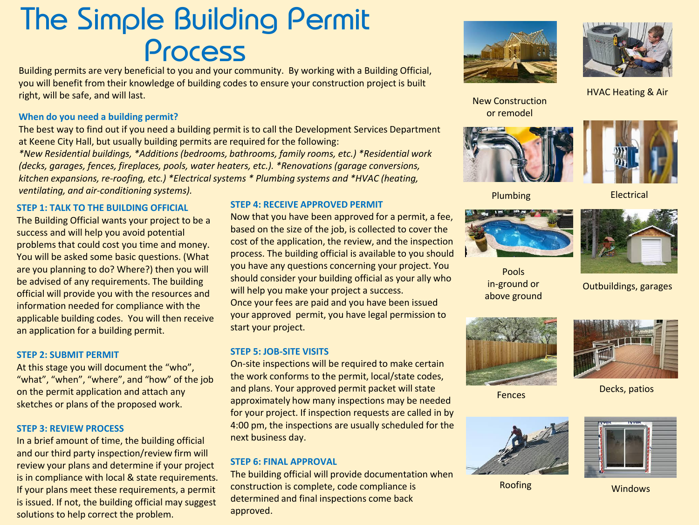# The Simple Building Permit Process

Building permits are very beneficial to you and your community. By working with a Building Official, you will benefit from their knowledge of building codes to ensure your construction project is built right, will be safe, and will last.

## **When do you need a building permit?**

The best way to find out if you need a building permit is to call the Development Services Department at Keene City Hall, but usually building permits are required for the following:

*\*New Residential buildings, \*Additions (bedrooms, bathrooms, family rooms, etc.) \*Residential work (decks, garages, fences, fireplaces, pools, water heaters, etc.). \*Renovations (garage conversions, kitchen expansions, re-roofing, etc.) \*Electrical systems \* Plumbing systems and \*HVAC (heating, ventilating, and air-conditioning systems).*

## **STEP 1: TALK TO THE BUILDING OFFICIAL**

The Building Official wants your project to be a success and will help you avoid potential problems that could cost you time and money. You will be asked some basic questions. (What are you planning to do? Where?) then you will be advised of any requirements. The building official will provide you with the resources and information needed for compliance with the applicable building codes. You will then receive an application for a building permit.

### **STEP 2: SUBMIT PERMIT**

At this stage you will document the "who", "what", "when", "where", and "how" of the job on the permit application and attach any sketches or plans of the proposed work.

### **STEP 3: REVIEW PROCESS**

In a brief amount of time, the building official and our third party inspection/review firm will review your plans and determine if your project is in compliance with local & state requirements. If your plans meet these requirements, a permit is issued. If not, the building official may suggest solutions to help correct the problem.

#### **STEP 4: RECEIVE APPROVED PERMIT**

Now that you have been approved for a permit, a fee, based on the size of the job, is collected to cover the cost of the application, the review, and the inspection process. The building official is available to you should you have any questions concerning your project. You should consider your building official as your ally who will help you make your project a success. Once your fees are paid and you have been issued your approved permit, you have legal permission to start your project.

### **STEP 5: JOB-SITE VISITS**

On-site inspections will be required to make certain the work conforms to the permit, local/state codes, and plans. Your approved permit packet will state approximately how many inspections may be needed for your project. If inspection requests are called in by 4:00 pm, the inspections are usually scheduled for the next business day.

### **STEP 6: FINAL APPROVAL**

The building official will provide documentation when construction is complete, code compliance is determined and final inspections come back approved.





HVAC Heating & Air

New Construction or remodel





Plumbing



Pools in-ground or above ground

**Electrical** 

Outbuildings, garages





Fences Decks, patios



Roofing Windows